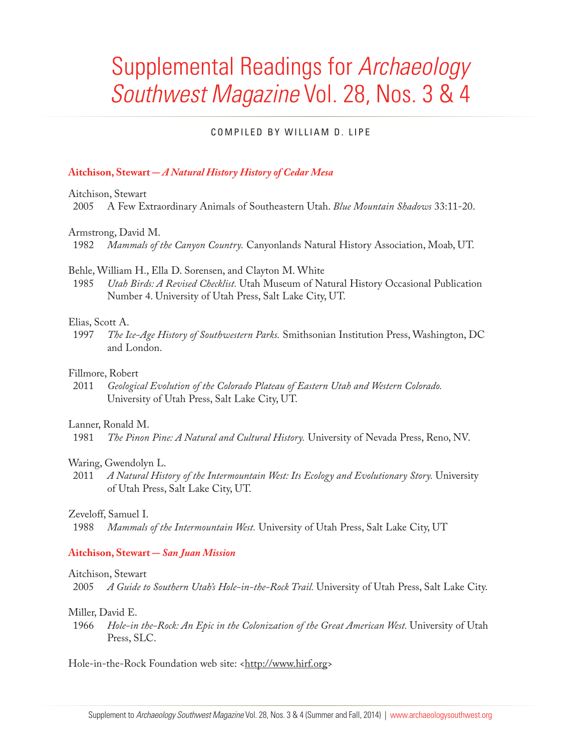# Supplemental Readings for *Archaeology Southwest Magazine* Vol. 28, Nos. 3 & 4

# COMPILED BY WILLIAM D. LIPE

# **Aitchison, Stewart** *- A Natural History History of Cedar Mesa*

Aitchison, Stewart

2005 A Few Extraordinary Animals of Southeastern Utah. *Blue Mountain Shadows* 33:11-20.

Armstrong, David M.

1982 *Mammals of the Canyon Country.* Canyonlands Natural History Association, Moab, UT.

#### Behle, William H., Ella D. Sorensen, and Clayton M. White

1985 *Utah Birds: A Revised Checklist.* Utah Museum of Natural History Occasional Publication Number 4. University of Utah Press, Salt Lake City, UT.

# Elias, Scott A.<br>1997 *The I*

1997 *The Ice-Age History of Southwestern Parks.* Smithsonian Institution Press, Washington, DC and London.

#### Fillmore, Robert

2011 *Geological Evolution of the Colorado Plateau of Eastern Utah and Western Colorado.* University of Utah Press, Salt Lake City, UT.

#### Lanner, Ronald M.

1981 *The Pinon Pine: A Natural and Cultural History.* University of Nevada Press, Reno, NV.

# Waring, Gwendolyn L.

2011 *A Natural History of the Intermountain West: Its Ecology and Evolutionary Story.* University of Utah Press, Salt Lake City, UT.

#### Zeveloff, Samuel I.

1988 *Mammals of the Intermountain West.* University of Utah Press, Salt Lake City, UT

# **Aitchison, Stewart** *- San Juan Mission*

#### Aitchison, Stewart

2005 *A Guide to Southern Utah's Hole-in-the-Rock Trail.* University of Utah Press, Salt Lake City.

#### Miller, David E.

1966 *Hole-in the-Rock: An Epic in the Colonization of the Great American West.* University of Utah Press, SLC.

Hole-in-the-Rock Foundation web site: <http://www.hirf.org>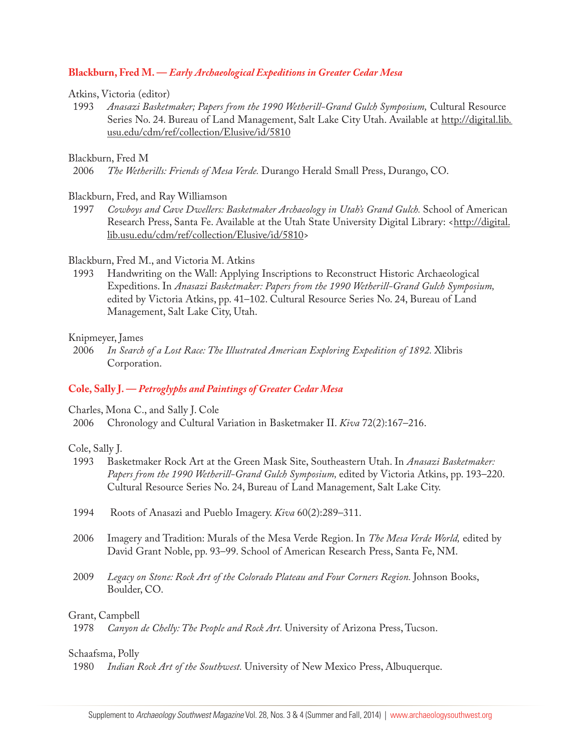# **Blackburn, Fred M. —** *Early Archaeological Expeditions in Greater Cedar Mesa*

#### Atkins, Victoria (editor)

1993 *Anasazi Basketmaker; Papers from the 1990 Wetherill-Grand Gulch Symposium,* Cultural Resource Series No. 24. Bureau of Land Management, Salt Lake City Utah. Available at http://digital.lib. usu.edu/cdm/ref/collection/Elusive/id/5810

#### Blackburn, Fred M

#### Blackburn, Fred, and Ray Williamson

1997 *Cowboys and Cave Dwellers: Basketmaker Archaeology in Utah's Grand Gulch.* School of American Research Press, Santa Fe. Available at the Utah State University Digital Library: <http://digital. lib.usu.edu/cdm/ref/collection/Elusive/id/5810>

# Blackburn, Fred M., and Victoria M. Atkins

1993 Handwriting on the Wall: Applying Inscriptions to Reconstruct Historic Archaeological Expeditions. In *Anasazi Basketmaker: Papers from the 1990 Wetherill-Grand Gulch Symposium,*  edited by Victoria Atkins, pp. 41–102. Cultural Resource Series No. 24, Bureau of Land Management, Salt Lake City, Utah.

#### Knipmeyer, James

2006 *In Search of a Lost Race: The Illustrated American Exploring Expedition of 1892.* Xlibris Corporation.

# **Cole, Sally J. —** *Petroglyphs and Paintings of Greater Cedar Mesa*

Charles, Mona C., and Sally J. Cole

2006 Chronology and Cultural Variation in Basketmaker II. *Kiva* 72(2):167–216.

# Cole, Sally J.

- 1993 Basketmaker Rock Art at the Green Mask Site, Southeastern Utah. In *Anasazi Basketmaker: Papers from the 1990 Wetherill-Grand Gulch Symposium,* edited by Victoria Atkins, pp. 193–220. Cultural Resource Series No. 24, Bureau of Land Management, Salt Lake City.
- 1994 Roots of Anasazi and Pueblo Imagery. *Kiva* 60(2):289–311.
- 2006 Imagery and Tradition: Murals of the Mesa Verde Region. In *The Mesa Verde World,* edited by David Grant Noble, pp. 93–99. School of American Research Press, Santa Fe, NM.
- 2009 *Legacy on Stone: Rock Art of the Colorado Plateau and Four Corners Region.* Johnson Books, Boulder, CO.

#### Grant, Campbell

1978 *Canyon de Chelly: The People and Rock Art.* University of Arizona Press, Tucson.

#### Schaafsma, Polly

1980 *Indian Rock Art of the Southwest.* University of New Mexico Press, Albuquerque.

<sup>2006</sup> *The Wetherills: Friends of Mesa Verde.* Durango Herald Small Press, Durango, CO.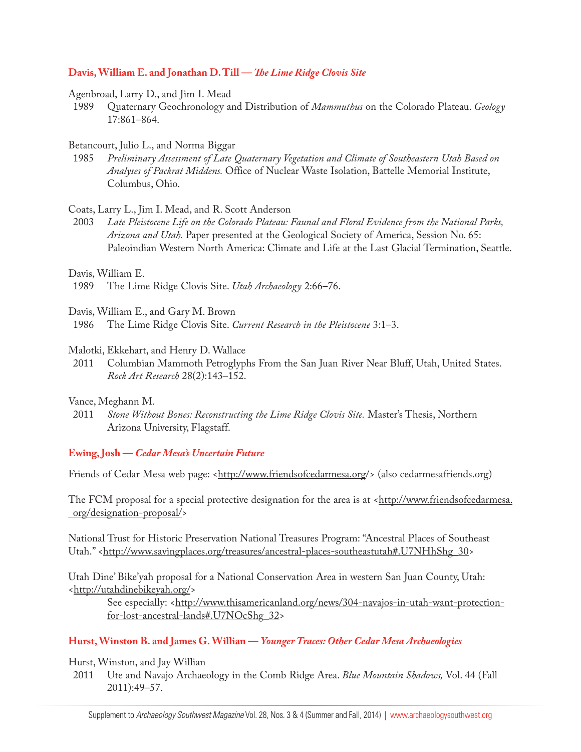# **Davis, William E. and Jonathan D. Till —** *The Lime Ridge Clovis Site*

#### Agenbroad, Larry D., and Jim I. Mead

1989 Quaternary Geochronology and Distribution of *Mammuthus* on the Colorado Plateau. *Geology* 17:861–864.

# Betancourt, Julio L., and Norma Biggar

1985 *Preliminary Assessment of Late Quaternary Vegetation and Climate of Southeastern Utah Based on Analyses of Packrat Middens.* Office of Nuclear Waste Isolation, Battelle Memorial Institute, Columbus, Ohio.

# Coats, Larry L., Jim I. Mead, and R. Scott Anderson

2003 *Late Pleistocene Life on the Colorado Plateau: Faunal and Floral Evidence from the National Parks, Arizona and Utah.* Paper presented at the Geological Society of America, Session No. 65: Paleoindian Western North America: Climate and Life at the Last Glacial Termination, Seattle.

# Davis, William E.

Davis, William E., and Gary M. Brown

1986 The Lime Ridge Clovis Site. *Current Research in the Pleistocene* 3:1–3.

# Malotki, Ekkehart, and Henry D. Wallace

2011 Columbian Mammoth Petroglyphs From the San Juan River Near Bluff, Utah, United States. *Rock Art Research* 28(2):143–152.

# Vance, Meghann M.

2011 *Stone Without Bones: Reconstructing the Lime Ridge Clovis Site.* Master's Thesis, Northern Arizona University, Flagstaff.

# **Ewing, Josh —** *Cedar Mesa's Uncertain Future*

Friends of Cedar Mesa web page: <http://www.friendsofcedarmesa.org/> (also cedarmesafriends.org)

The FCM proposal for a special protective designation for the area is at <http://www.friendsofcedarmesa. org/designation-proposal/>

National Trust for Historic Preservation National Treasures Program: "Ancestral Places of Southeast Utah." <http://www.savingplaces.org/treasures/ancestral-places-southeastutah#.U7NHhShg\_30>

Utah Dine' Bike'yah proposal for a National Conservation Area in western San Juan County, Utah: <http://utahdinebikeyah.org/>

See especially: <http://www.thisamericanland.org/news/304-navajos-in-utah-want-protectionfor-lost-ancestral-lands#.U7NOcShg\_32>

# **Hurst, Winston B. and James G. Willian —** *Younger Traces: Other Cedar Mesa Archaeologies*

# Hurst, Winston, and Jay Willian

2011 Ute and Navajo Archaeology in the Comb Ridge Area. *Blue Mountain Shadows,* Vol. 44 (Fall 2011):49–57.

<sup>1989</sup> The Lime Ridge Clovis Site. *Utah Archaeology* 2:66–76.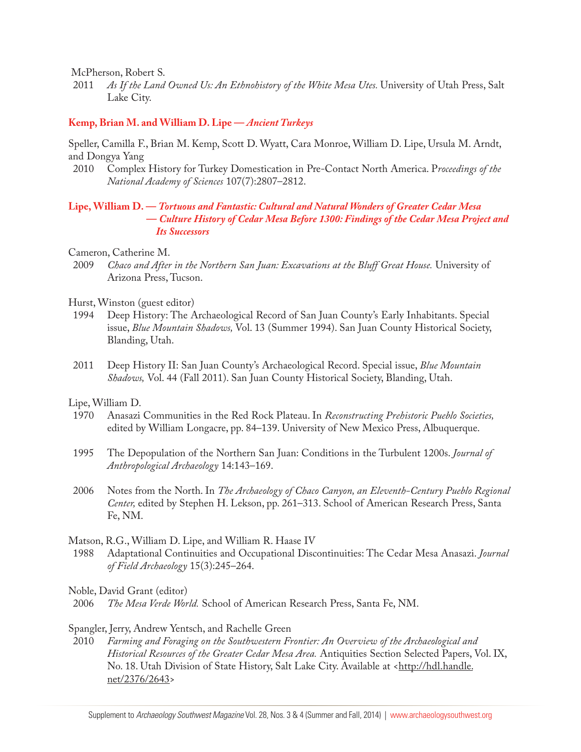McPherson, Robert S.

2011 *As If the Land Owned Us: An Ethnohistory of the White Mesa Utes.* University of Utah Press, Salt Lake City.

#### **Kemp, Brian M. and William D. Lipe —** *Ancient Turkeys*

Speller, Camilla F., Brian M. Kemp, Scott D. Wyatt, Cara Monroe, William D. Lipe, Ursula M. Arndt, and Dongya Yang

2010 Complex History for Turkey Domestication in Pre-Contact North America. P*roceedings of the National Academy of Sciences* 107(7):2807–2812.

# **Lipe, William D. —** *Tortuous and Fantastic: Cultural and Natural Wonders of Greater Cedar Mesa*   **—** *Culture History of Cedar Mesa Before 1300: Findings of the Cedar Mesa Project and Its Successors*

Cameron, Catherine M.<br>2009 Chaco and After

2009 *Chaco and After in the Northern San Juan: Excavations at the Bluff Great House.* University of Arizona Press, Tucson.

Hurst, Winston (guest editor)

- 1994 Deep History: The Archaeological Record of San Juan County's Early Inhabitants. Special issue, *Blue Mountain Shadows,* Vol. 13 (Summer 1994). San Juan County Historical Society, Blanding, Utah.
- 2011 Deep History II: San Juan County's Archaeological Record. Special issue, *Blue Mountain Shadows,* Vol. 44 (Fall 2011). San Juan County Historical Society, Blanding, Utah.

Lipe, William D.

- 1970 Anasazi Communities in the Red Rock Plateau. In *Reconstructing Prehistoric Pueblo Societies,* edited by William Longacre, pp. 84–139. University of New Mexico Press, Albuquerque.
- 1995 The Depopulation of the Northern San Juan: Conditions in the Turbulent 1200s. *Journal of Anthropological Archaeology* 14:143–169.
- 2006 Notes from the North. In *The Archaeology of Chaco Canyon, an Eleventh-Century Pueblo Regional Center,* edited by Stephen H. Lekson, pp. 261–313. School of American Research Press, Santa Fe, NM.

Matson, R.G., William D. Lipe, and William R. Haase IV

1988 Adaptational Continuities and Occupational Discontinuities: The Cedar Mesa Anasazi. *Journal of Field Archaeology* 15(3):245–264.

Noble, David Grant (editor)

2006 *The Mesa Verde World.* School of American Research Press, Santa Fe, NM.

#### Spangler, Jerry, Andrew Yentsch, and Rachelle Green

2010 *Farming and Foraging on the Southwestern Frontier: An Overview of the Archaeological and Historical Resources of the Greater Cedar Mesa Area.* Antiquities Section Selected Papers, Vol. IX, No. 18. Utah Division of State History, Salt Lake City. Available at <http://hdl.handle. net/2376/2643>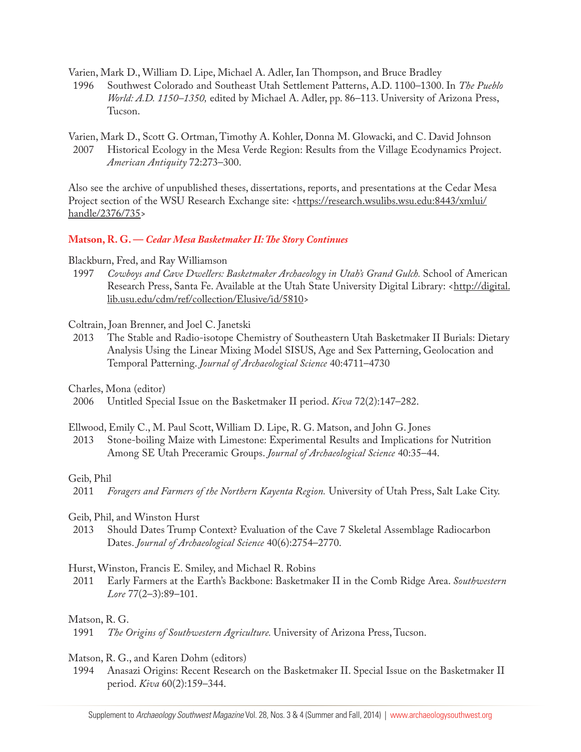Varien, Mark D., William D. Lipe, Michael A. Adler, Ian Thompson, and Bruce Bradley

1996 Southwest Colorado and Southeast Utah Settlement Patterns, A.D. 1100–1300. In *The Pueblo World: A.D. 1150–1350,* edited by Michael A. Adler, pp. 86–113. University of Arizona Press, Tucson.

Varien, Mark D., Scott G. Ortman, Timothy A. Kohler, Donna M. Glowacki, and C. David Johnson

2007 Historical Ecology in the Mesa Verde Region: Results from the Village Ecodynamics Project. *American Antiquity* 72:273–300.

Also see the archive of unpublished theses, dissertations, reports, and presentations at the Cedar Mesa Project section of the WSU Research Exchange site: <https://research.wsulibs.wsu.edu:8443/xmlui/ handle/2376/735>

# **Matson, R. G. —** *Cedar Mesa Basketmaker II: The Story Continues*

Blackburn, Fred, and Ray Williamson

1997 *Cowboys and Cave Dwellers: Basketmaker Archaeology in Utah's Grand Gulch.* School of American Research Press, Santa Fe. Available at the Utah State University Digital Library: <http://digital. lib.usu.edu/cdm/ref/collection/Elusive/id/5810>

Coltrain, Joan Brenner, and Joel C. Janetski

2013 The Stable and Radio-isotope Chemistry of Southeastern Utah Basketmaker II Burials: Dietary Analysis Using the Linear Mixing Model SISUS, Age and Sex Patterning, Geolocation and Temporal Patterning. *Journal of Archaeological Science* 40:4711–4730

Charles, Mona (editor)

- 2006 Untitled Special Issue on the Basketmaker II period. *Kiva* 72(2):147–282.
- Ellwood, Emily C., M. Paul Scott, William D. Lipe, R. G. Matson, and John G. Jones
- 2013 Stone-boiling Maize with Limestone: Experimental Results and Implications for Nutrition Among SE Utah Preceramic Groups. *Journal of Archaeological Science* 40:35–44.

# Geib, Phil

2011 *Foragers and Farmers of the Northern Kayenta Region.* University of Utah Press, Salt Lake City.

- Geib, Phil, and Winston Hurst
- 2013 Should Dates Trump Context? Evaluation of the Cave 7 Skeletal Assemblage Radiocarbon Dates. *Journal of Archaeological Science* 40(6):2754–2770.

# Hurst, Winston, Francis E. Smiley, and Michael R. Robins

2011 Early Farmers at the Earth's Backbone: Basketmaker II in the Comb Ridge Area. *Southwestern Lore* 77(2–3):89–101.

# Matson, R. G.

# Matson, R. G., and Karen Dohm (editors)

1994 Anasazi Origins: Recent Research on the Basketmaker II. Special Issue on the Basketmaker II period. *Kiva* 60(2):159–344.

<sup>1991</sup> *The Origins of Southwestern Agriculture.* University of Arizona Press, Tucson.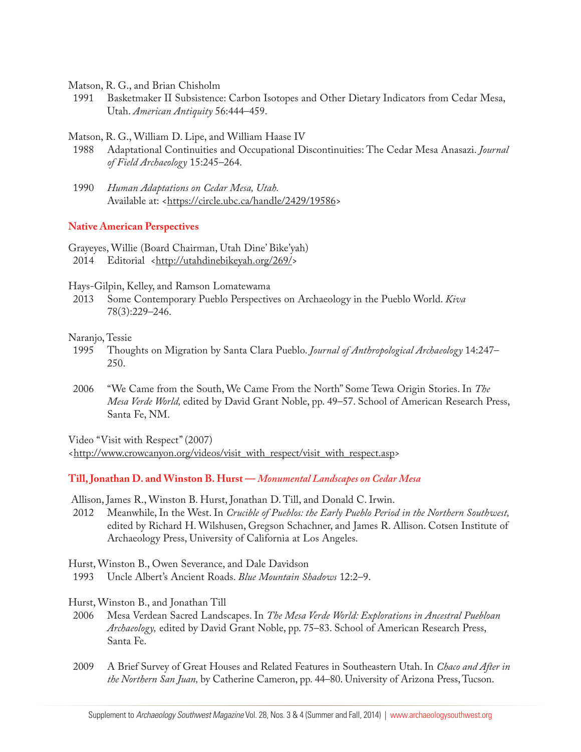Matson, R. G., and Brian Chisholm

1991 Basketmaker II Subsistence: Carbon Isotopes and Other Dietary Indicators from Cedar Mesa, Utah. *American Antiquity* 56:444–459.

Matson, R. G., William D. Lipe, and William Haase IV

- 1988 Adaptational Continuities and Occupational Discontinuities: The Cedar Mesa Anasazi. *Journal of Field Archaeology* 15:245–264.
- 1990 *Human Adaptations on Cedar Mesa, Utah.* Available at: <https://circle.ubc.ca/handle/2429/19586>

# **Native American Perspectives**

Grayeyes, Willie (Board Chairman, Utah Dine' Bike'yah) 2014 Editorial <http://utahdinebikeyah.org/269/>

Hays-Gilpin, Kelley, and Ramson Lomatewama

2013 Some Contemporary Pueblo Perspectives on Archaeology in the Pueblo World. *Kiva* 78(3):229–246.

# Naranjo, Tessie

- 1995 Thoughts on Migration by Santa Clara Pueblo. *Journal of Anthropological Archaeology* 14:247– 250.
- 2006 "We Came from the South, We Came From the North" Some Tewa Origin Stories. In *The Mesa Verde World,* edited by David Grant Noble, pp. 49–57. School of American Research Press, Santa Fe, NM.

Video "Visit with Respect" (2007)

<http://www.crowcanyon.org/videos/visit\_with\_respect/visit\_with\_respect.asp>

**Till, Jonathan D. and Winston B. Hurst —** *Monumental Landscapes on Cedar Mesa*

Allison, James R., Winston B. Hurst, Jonathan D. Till, and Donald C. Irwin.

2012 Meanwhile, In the West. In *Crucible of Pueblos: the Early Pueblo Period in the Northern Southwest,* edited by Richard H. Wilshusen, Gregson Schachner, and James R. Allison. Cotsen Institute of Archaeology Press, University of California at Los Angeles.

Hurst, Winston B., Owen Severance, and Dale Davidson

1993 Uncle Albert's Ancient Roads. *Blue Mountain Shadows* 12:2–9.

- Hurst, Winston B., and Jonathan Till
- 2006 Mesa Verdean Sacred Landscapes. In *The Mesa Verde World: Explorations in Ancestral Puebloan Archaeology,* edited by David Grant Noble, pp. 75–83. School of American Research Press, Santa Fe.
- 2009 A Brief Survey of Great Houses and Related Features in Southeastern Utah. In *Chaco and After in the Northern San Juan,* by Catherine Cameron, pp. 44–80. University of Arizona Press, Tucson.